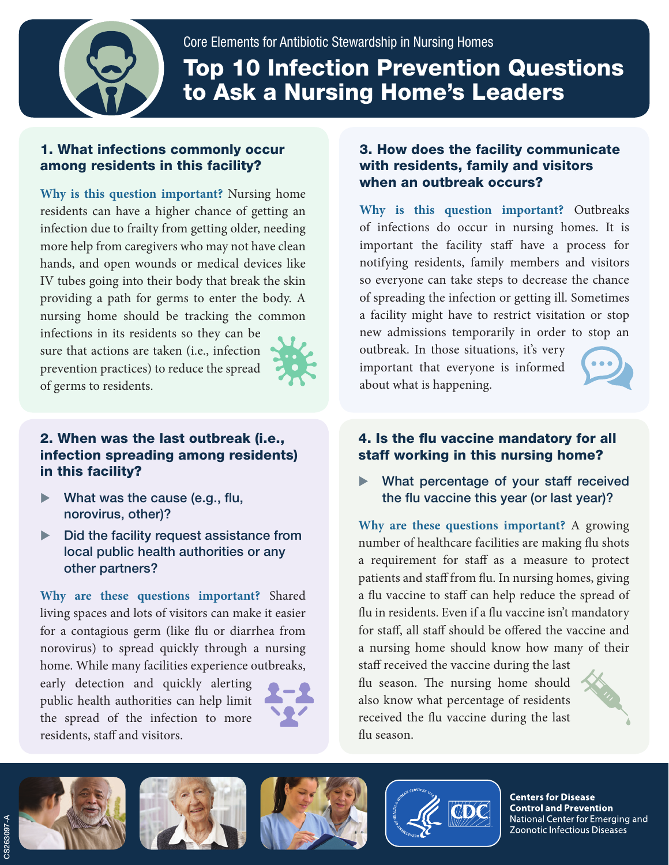

Core Elements for Antibiotic Stewardship in Nursing Homes Top 10 Infection Prevention Questions to Ask a Nursing Home's Leaders

# 1. What infections commonly occur among residents in this facility?

**Why is this question important?** Nursing home residents can have a higher chance of getting an infection due to frailty from getting older, needing more help from caregivers who may not have clean hands, and open wounds or medical devices like IV tubes going into their body that break the skin providing a path for germs to enter the body. A nursing home should be tracking the common

infections in its residents so they can be sure that actions are taken (i.e., infection prevention practices) to reduce the spread of germs to residents.



#### 2. When was the last outbreak (i.e., infection spreading among residents) in this facility?

- What was the cause (e.g., flu, norovirus, other)?
- $\triangleright$  Did the facility request assistance from local public health authorities or any other partners?

**Why are these questions important?** Shared living spaces and lots of visitors can make it easier for a contagious germ (like flu or diarrhea from norovirus) to spread quickly through a nursing home. While many facilities experience outbreaks,

early detection and quickly alerting public health authorities can help limit the spread of the infection to more residents, staff and visitors.



## 3. How does the facility communicate with residents, family and visitors when an outbreak occurs?

**Why is this question important?** Outbreaks of infections do occur in nursing homes. It is important the facility staff have a process for notifying residents, family members and visitors so everyone can take steps to decrease the chance of spreading the infection or getting ill. Sometimes a facility might have to restrict visitation or stop new admissions temporarily in order to stop an

outbreak. In those situations, it's very important that everyone is informed about what is happening.



## 4. Is the flu vaccine mandatory for all staff working in this nursing home?

What percentage of your staff received the flu vaccine this year (or last year)?

**Why are these questions important?** A growing number of healthcare facilities are making flu shots a requirement for staff as a measure to protect patients and staff from flu. In nursing homes, giving a flu vaccine to staff can help reduce the spread of flu in residents. Even if a flu vaccine isn't mandatory for staff, all staff should be offered the vaccine and a nursing home should know how many of their

staff received the vaccine during the last flu season. The nursing home should also know what percentage of residents received the flu vaccine during the last flu season.











**Centers for Disease Control and Prevention** National Center for Emerging and Zoonotic Infectious Diseases